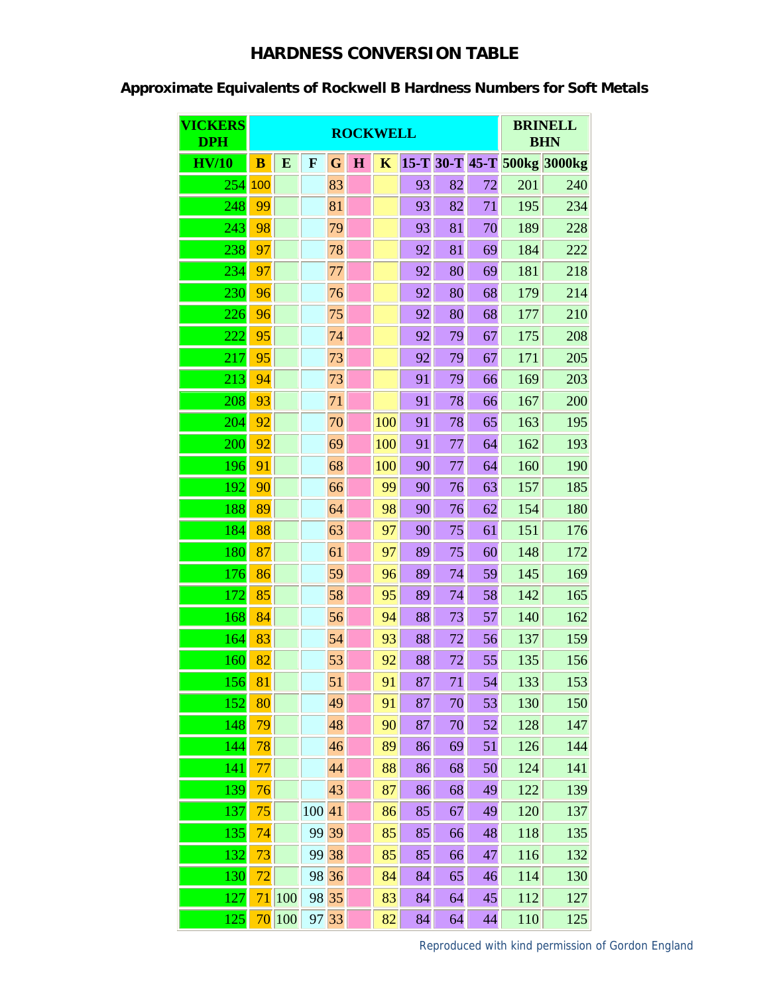## **HARDNESS CONVERSION TABLE**

## **Approximate Equivalents of Rockwell B Hardness Numbers for Soft Metals**

| <b>VICKERS</b><br><b>DPH</b> | <b>ROCKWELL</b> |     |             |       |             |             |    |    |    | <b>BRINELL</b><br><b>BHN</b> |                             |
|------------------------------|-----------------|-----|-------------|-------|-------------|-------------|----|----|----|------------------------------|-----------------------------|
| HV/10                        | $\bf{B}$        | E   | $\mathbf F$ | G     | $\mathbf H$ | $\mathbf K$ |    |    |    |                              | 15-T 30-T 45-T 500kg 3000kg |
| 254                          | 100             |     |             | 83    |             |             | 93 | 82 | 72 | 201                          | 240                         |
| 248                          | 99              |     |             | 81    |             |             | 93 | 82 | 71 | 195                          | 234                         |
| 243                          | 98              |     |             | 79    |             |             | 93 | 81 | 70 | 189                          | 228                         |
| 238                          | 97              |     |             | 78    |             |             | 92 | 81 | 69 | 184                          | 222                         |
| 234                          | 97              |     |             | 77    |             |             | 92 | 80 | 69 | 181                          | 218                         |
| 230                          | 96              |     |             | 76    |             |             | 92 | 80 | 68 | 179                          | 214                         |
| 226                          | 96              |     |             | 75    |             |             | 92 | 80 | 68 | 177                          | 210                         |
| 222                          | 95              |     |             | 74    |             |             | 92 | 79 | 67 | 175                          | 208                         |
| 217                          | 95              |     |             | 73    |             |             | 92 | 79 | 67 | 171                          | 205                         |
| 213                          | 94              |     |             | 73    |             |             | 91 | 79 | 66 | 169                          | 203                         |
| 208                          | 93              |     |             | 71    |             |             | 91 | 78 | 66 | 167                          | 200                         |
| 204                          | 92              |     |             | 70    |             | 100         | 91 | 78 | 65 | 163                          | 195                         |
| 200                          | 92              |     |             | 69    |             | 100         | 91 | 77 | 64 | 162                          | 193                         |
| 196                          | 91              |     |             | 68    |             | 100         | 90 | 77 | 64 | 160                          | 190                         |
| 192                          | 90              |     |             | 66    |             | 99          | 90 | 76 | 63 | 157                          | 185                         |
| 188                          | 89              |     |             | 64    |             | 98          | 90 | 76 | 62 | 154                          | 180                         |
| 184                          | 88              |     |             | 63    |             | 97          | 90 | 75 | 61 | 151                          | 176                         |
| 180                          | 87              |     |             | 61    |             | 97          | 89 | 75 | 60 | 148                          | 172                         |
| 176                          | 86              |     |             | 59    |             | 96          | 89 | 74 | 59 | 145                          | 169                         |
| 172                          | 85              |     |             | 58    |             | 95          | 89 | 74 | 58 | 142                          | 165                         |
| 168                          | 84              |     |             | 56    |             | 94          | 88 | 73 | 57 | 140                          | 162                         |
| 164                          | 83              |     |             | 54    |             | 93          | 88 | 72 | 56 | 137                          | 159                         |
| 160                          | 82              |     |             | 53    |             | 92          | 88 | 72 | 55 | 135                          | 156                         |
| 156                          | 81              |     |             | 51    |             | 91          | 87 | 71 | 54 | 133                          | 153                         |
| 152                          | 80              |     |             | 49    |             | 91          | 87 | 70 | 53 | 130                          | 150                         |
| 148                          | 79              |     |             | 48    |             | 90          | 87 | 70 | 52 | 128                          | 147                         |
| 144                          | 78              |     |             | 46    |             | 89          | 86 | 69 | 51 | 126                          | 144                         |
| 141                          | 77              |     |             | 44    |             | 88          | 86 | 68 | 50 | 124                          | 141                         |
| 139                          | 76              |     |             | 43    |             | 87          | 86 | 68 | 49 | 122                          | 139                         |
| 137                          | 75              |     | 100         | 41    |             | 86          | 85 | 67 | 49 | 120                          | 137                         |
| 135                          | 74              |     | 99 39       |       |             | 85          | 85 | 66 | 48 | 118                          | 135                         |
| 132                          | 73              |     |             | 99 38 |             | 85          | 85 | 66 | 47 | 116                          | 132                         |
| 130                          | 72              |     |             | 98 36 |             | 84          | 84 | 65 | 46 | 114                          | 130                         |
| 127                          | 71              | 100 |             | 98 35 |             | 83          | 84 | 64 | 45 | 112                          | 127                         |
| $\overline{125}$             | 70              | 100 |             | 97 33 |             | 82          | 84 | 64 | 44 | 110                          | 125                         |

Reproduced with kind permission o[f Gordon England](www.gordonengland.co.uk)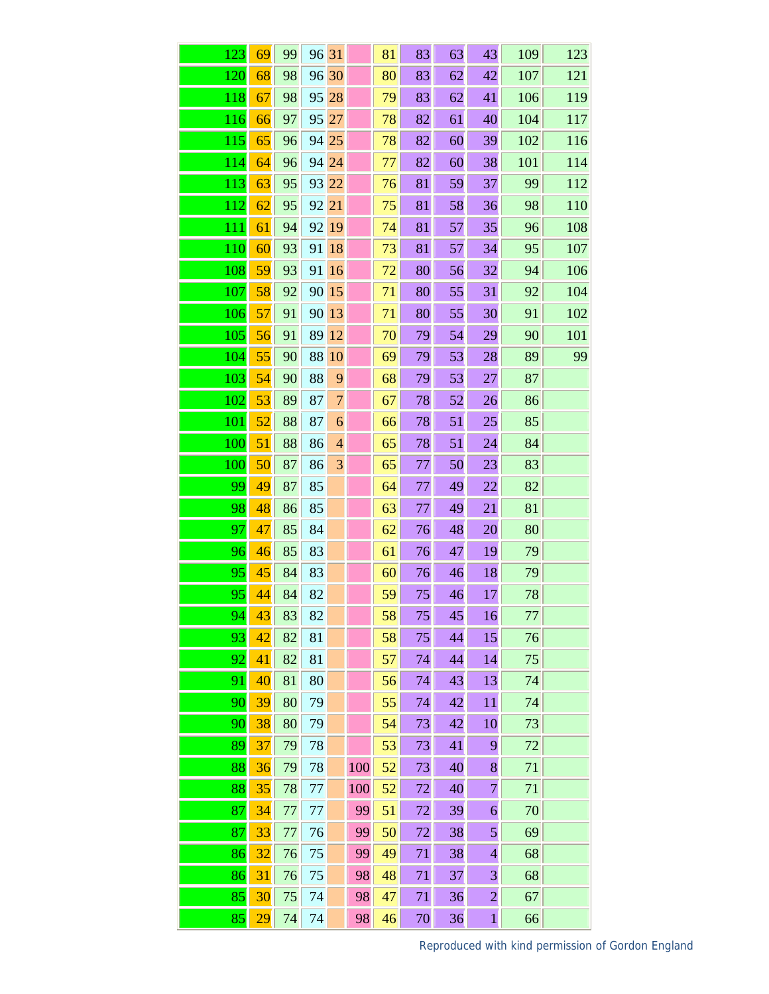| 123              | 69              | 99 | 96 31 |                |     | 81 | 83 | 63 | 43             | 109 | 123 |
|------------------|-----------------|----|-------|----------------|-----|----|----|----|----------------|-----|-----|
| 120              | 68              | 98 | 96    | 30             |     | 80 | 83 | 62 | 42             | 107 | 121 |
| 118              | 67              | 98 | 95    | 28             |     | 79 | 83 | 62 | 41             | 106 | 119 |
| 116              | 66              | 97 | 95    | 27             |     | 78 | 82 | 61 | 40             | 104 | 117 |
| 115              | 65              | 96 | 94    | 25             |     | 78 | 82 | 60 | 39             | 102 | 116 |
| 114              | 64              | 96 | 94    | 24             |     | 77 | 82 | 60 | 38             | 101 | 114 |
| $\overline{113}$ | 63              | 95 | 93    | 22             |     | 76 | 81 | 59 | 37             | 99  | 112 |
| 112              | 62              | 95 | 92    | 21             |     | 75 | 81 | 58 | 36             | 98  | 110 |
| 111              | 61              | 94 | 92    | 19             |     | 74 | 81 | 57 | 35             | 96  | 108 |
| 110              | 60              | 93 | 91    | 18             |     | 73 | 81 | 57 | 34             | 95  | 107 |
| 108              | 59              | 93 | 91    | 16             |     | 72 | 80 | 56 | 32             | 94  | 106 |
| 107              | 58              | 92 | 90    | 15             |     | 71 | 80 | 55 | 31             | 92  | 104 |
| 106              | 57              | 91 | 90    | 13             |     | 71 | 80 | 55 | 30             | 91  | 102 |
| 105              | 56              | 91 | 89    | 12             |     | 70 | 79 | 54 | 29             | 90  | 101 |
| 104              | 55              | 90 | 88    | 10             |     | 69 | 79 | 53 | 28             | 89  | 99  |
| 103              | 54              | 90 | 88    | 9              |     | 68 | 79 | 53 | 27             | 87  |     |
| 102              | 53              | 89 | 87    | $\overline{7}$ |     | 67 | 78 | 52 | 26             | 86  |     |
| 101              | 52              | 88 | 87    | 6              |     | 66 | 78 | 51 | 25             | 85  |     |
| 100              | 51              | 88 | 86    | $\overline{4}$ |     | 65 | 78 | 51 | 24             | 84  |     |
| 100              | 50              | 87 | 86    | 3              |     | 65 | 77 | 50 | 23             | 83  |     |
| 99               | 49              | 87 | 85    |                |     | 64 | 77 | 49 | 22             | 82  |     |
| 98               | 48              | 86 | 85    |                |     | 63 | 77 | 49 | 21             | 81  |     |
| 97               | 47              | 85 | 84    |                |     | 62 | 76 | 48 | 20             | 80  |     |
| 96               | 46              | 85 | 83    |                |     | 61 | 76 | 47 | 19             | 79  |     |
| 95               | 45              | 84 | 83    |                |     | 60 | 76 | 46 | 18             | 79  |     |
| 95               | 44              | 84 | 82    |                |     | 59 | 75 | 46 | 17             | 78  |     |
| 94               | 43              | 83 | 82    |                |     | 58 | 75 | 45 | 16             | 77  |     |
| 93               | 42              | 82 | 81    |                |     | 58 | 75 | 44 | 15             | 76  |     |
| 92               | 41              | 82 | 81    |                |     | 57 | 74 | 44 | 14             | 75  |     |
| 91               | 40              | 81 | 80    |                |     | 56 | 74 | 43 | 13             | 74  |     |
| 90               | 39              | 80 | 79    |                |     | 55 | 74 | 42 | 11             | 74  |     |
| 90               | 38              | 80 | 79    |                |     | 54 | 73 | 42 | 10             | 73  |     |
| 89               | 37              | 79 | 78    |                |     | 53 | 73 | 41 | 9              | 72  |     |
| 88               | 36              | 79 | 78    |                | 100 | 52 | 73 | 40 | 8              | 71  |     |
| 88               | 35              | 78 | 77    |                | 100 | 52 | 72 | 40 | $\overline{7}$ | 71  |     |
| 87               | 34              | 77 | 77    |                | 99  | 51 | 72 | 39 | 6              | 70  |     |
| 87               | 33              | 77 | 76    |                | 99  | 50 | 72 | 38 | 5              | 69  |     |
| 86               | 32              | 76 | 75    |                | 99  | 49 | 71 | 38 | $\overline{4}$ | 68  |     |
| 86               | 31              | 76 | 75    |                | 98  | 48 | 71 | 37 | $\overline{3}$ | 68  |     |
| 85               | 30              | 75 | 74    |                | 98  | 47 | 71 | 36 | $\overline{2}$ | 67  |     |
| 85               | $\overline{29}$ | 74 | 74    |                | 98  | 46 | 70 | 36 | $\mathbf{1}$   | 66  |     |

Reproduced with kind permission of [Gordon England](www.gordonengland.co.uk)